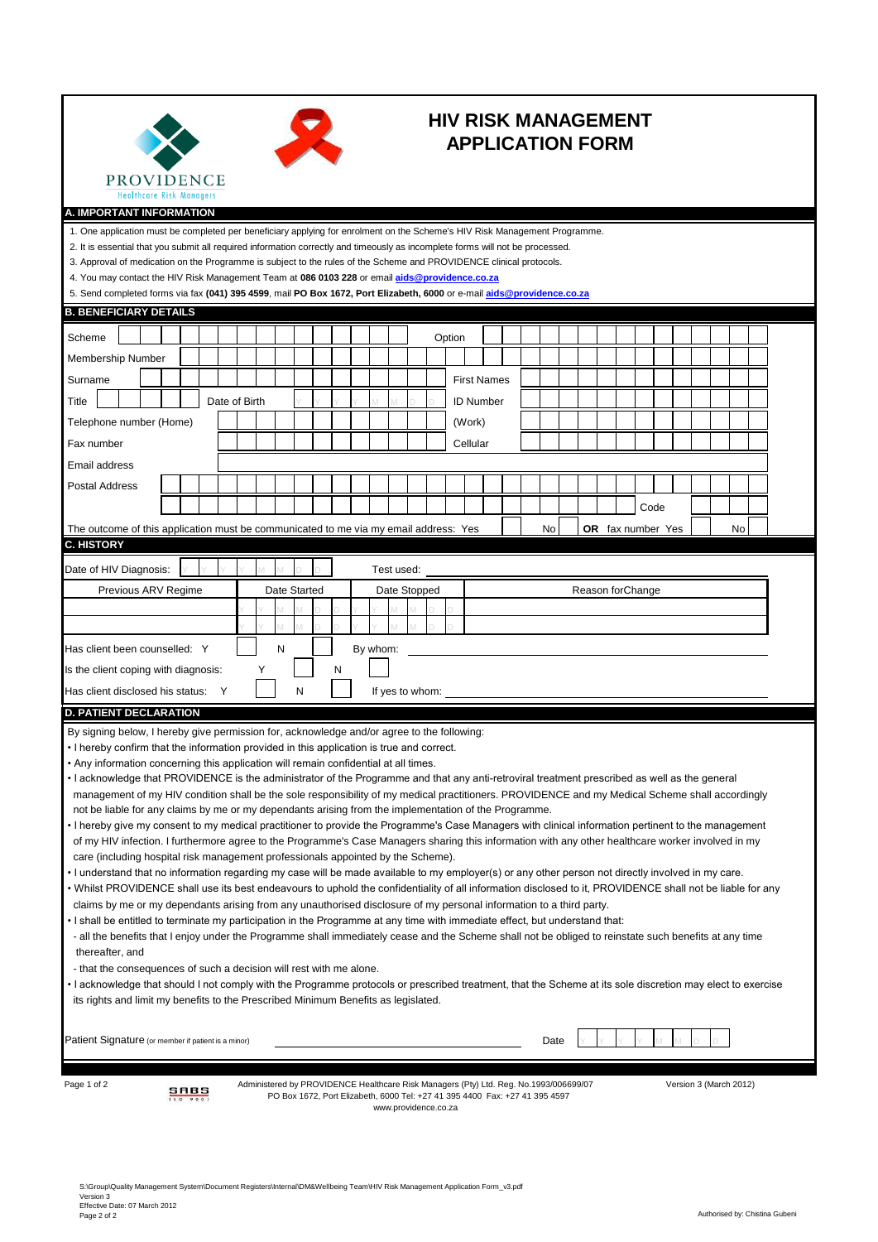



## **HIV RISK MANAGEMENT APPLICATION FORM**

| .<br><b>Healthcare Risk Managers</b>                                                                                                                                                                                                                                                                            |          |               |   |   |              |   |          |            |                      |        |                    |                                                                                                                                                                      |      |                  |                          |      |  |  |                        |  |
|-----------------------------------------------------------------------------------------------------------------------------------------------------------------------------------------------------------------------------------------------------------------------------------------------------------------|----------|---------------|---|---|--------------|---|----------|------------|----------------------|--------|--------------------|----------------------------------------------------------------------------------------------------------------------------------------------------------------------|------|------------------|--------------------------|------|--|--|------------------------|--|
| A. IMPORTANT INFORMATION                                                                                                                                                                                                                                                                                        |          |               |   |   |              |   |          |            |                      |        |                    |                                                                                                                                                                      |      |                  |                          |      |  |  |                        |  |
| 1. One application must be completed per beneficiary applying for enrolment on the Scheme's HIV Risk Management Programme.                                                                                                                                                                                      |          |               |   |   |              |   |          |            |                      |        |                    |                                                                                                                                                                      |      |                  |                          |      |  |  |                        |  |
| 2. It is essential that you submit all required information correctly and timeously as incomplete forms will not be processed.                                                                                                                                                                                  |          |               |   |   |              |   |          |            |                      |        |                    |                                                                                                                                                                      |      |                  |                          |      |  |  |                        |  |
| 3. Approval of medication on the Programme is subject to the rules of the Scheme and PROVIDENCE clinical protocols.                                                                                                                                                                                             |          |               |   |   |              |   |          |            |                      |        |                    |                                                                                                                                                                      |      |                  |                          |      |  |  |                        |  |
| 4. You may contact the HIV Risk Management Team at 086 0103 228 or email aids@providence.co.za<br>5. Send completed forms via fax (041) 395 4599, mail PO Box 1672, Port Elizabeth, 6000 or e-mail aids@providence.co.za                                                                                        |          |               |   |   |              |   |          |            |                      |        |                    |                                                                                                                                                                      |      |                  |                          |      |  |  |                        |  |
| <b>B. BENEFICIARY DETAILS</b>                                                                                                                                                                                                                                                                                   |          |               |   |   |              |   |          |            |                      |        |                    |                                                                                                                                                                      |      |                  |                          |      |  |  |                        |  |
|                                                                                                                                                                                                                                                                                                                 |          |               |   |   |              |   |          |            |                      |        |                    |                                                                                                                                                                      |      |                  |                          |      |  |  |                        |  |
| Scheme                                                                                                                                                                                                                                                                                                          |          |               |   |   |              |   |          |            |                      | Option |                    |                                                                                                                                                                      |      |                  |                          |      |  |  |                        |  |
| <b>Membership Number</b>                                                                                                                                                                                                                                                                                        |          |               |   |   |              |   |          |            |                      |        |                    |                                                                                                                                                                      |      |                  |                          |      |  |  |                        |  |
| Surname                                                                                                                                                                                                                                                                                                         |          |               |   |   |              |   |          |            |                      |        | <b>First Names</b> |                                                                                                                                                                      |      |                  |                          |      |  |  |                        |  |
| Title                                                                                                                                                                                                                                                                                                           |          | Date of Birth |   |   |              |   |          |            |                      |        | <b>ID Number</b>   |                                                                                                                                                                      |      |                  |                          |      |  |  |                        |  |
| Telephone number (Home)                                                                                                                                                                                                                                                                                         |          |               |   |   |              |   |          |            |                      |        | (Work)             |                                                                                                                                                                      |      |                  |                          |      |  |  |                        |  |
| Fax number                                                                                                                                                                                                                                                                                                      |          |               |   |   |              |   |          |            |                      |        | Cellular           |                                                                                                                                                                      |      |                  |                          |      |  |  |                        |  |
| Email address                                                                                                                                                                                                                                                                                                   |          |               |   |   |              |   |          |            |                      |        |                    |                                                                                                                                                                      |      |                  |                          |      |  |  |                        |  |
| Postal Address                                                                                                                                                                                                                                                                                                  |          |               |   |   |              |   |          |            |                      |        |                    |                                                                                                                                                                      |      |                  |                          |      |  |  |                        |  |
|                                                                                                                                                                                                                                                                                                                 |          |               |   |   |              |   |          |            |                      |        |                    |                                                                                                                                                                      |      |                  |                          |      |  |  |                        |  |
|                                                                                                                                                                                                                                                                                                                 |          |               |   |   |              |   |          |            |                      |        |                    |                                                                                                                                                                      |      |                  |                          | Code |  |  |                        |  |
| The outcome of this application must be communicated to me via my email address: Yes<br><b>C. HISTORY</b>                                                                                                                                                                                                       |          |               |   |   |              |   |          |            |                      |        |                    |                                                                                                                                                                      | No   |                  | <b>OR</b> fax number Yes |      |  |  | No                     |  |
|                                                                                                                                                                                                                                                                                                                 |          |               |   |   |              |   |          |            |                      |        |                    |                                                                                                                                                                      |      |                  |                          |      |  |  |                        |  |
| Date of HIV Diagnosis:                                                                                                                                                                                                                                                                                          |          |               |   |   |              |   |          | Test used: |                      |        |                    |                                                                                                                                                                      |      |                  |                          |      |  |  |                        |  |
| Previous ARV Regime                                                                                                                                                                                                                                                                                             |          |               |   |   | Date Started |   |          |            | Date Stopped         |        |                    |                                                                                                                                                                      |      | Reason forChange |                          |      |  |  |                        |  |
|                                                                                                                                                                                                                                                                                                                 |          |               |   |   |              |   |          |            |                      |        |                    |                                                                                                                                                                      |      |                  |                          |      |  |  |                        |  |
|                                                                                                                                                                                                                                                                                                                 |          |               |   |   |              |   |          |            |                      |        |                    |                                                                                                                                                                      |      |                  |                          |      |  |  |                        |  |
| Has client been counselled: Y                                                                                                                                                                                                                                                                                   |          |               |   | N |              |   | By whom: |            |                      |        |                    |                                                                                                                                                                      |      |                  |                          |      |  |  |                        |  |
| Is the client coping with diagnosis:                                                                                                                                                                                                                                                                            |          |               | Y |   |              | N |          |            |                      |        |                    |                                                                                                                                                                      |      |                  |                          |      |  |  |                        |  |
| Has client disclosed his status: Y                                                                                                                                                                                                                                                                              |          |               |   |   | N            |   |          |            | If yes to whom:      |        |                    |                                                                                                                                                                      |      |                  |                          |      |  |  |                        |  |
| <b>D. PATIENT DECLARATION</b>                                                                                                                                                                                                                                                                                   |          |               |   |   |              |   |          |            |                      |        |                    |                                                                                                                                                                      |      |                  |                          |      |  |  |                        |  |
| By signing below, I hereby give permission for, acknowledge and/or agree to the following:                                                                                                                                                                                                                      |          |               |   |   |              |   |          |            |                      |        |                    |                                                                                                                                                                      |      |                  |                          |      |  |  |                        |  |
| • I hereby confirm that the information provided in this application is true and correct.                                                                                                                                                                                                                       |          |               |   |   |              |   |          |            |                      |        |                    |                                                                                                                                                                      |      |                  |                          |      |  |  |                        |  |
| • Any information concerning this application will remain confidential at all times.                                                                                                                                                                                                                            |          |               |   |   |              |   |          |            |                      |        |                    |                                                                                                                                                                      |      |                  |                          |      |  |  |                        |  |
| • I acknowledge that PROVIDENCE is the administrator of the Programme and that any anti-retroviral treatment prescribed as well as the general<br>management of my HIV condition shall be the sole responsibility of my medical practitioners. PROVIDENCE and my Medical Scheme shall accordingly               |          |               |   |   |              |   |          |            |                      |        |                    |                                                                                                                                                                      |      |                  |                          |      |  |  |                        |  |
| not be liable for any claims by me or my dependants arising from the implementation of the Programme.                                                                                                                                                                                                           |          |               |   |   |              |   |          |            |                      |        |                    |                                                                                                                                                                      |      |                  |                          |      |  |  |                        |  |
| I hereby give my consent to my medical practitioner to provide the Programme's Case Managers with clinical information pertinent to the management                                                                                                                                                              |          |               |   |   |              |   |          |            |                      |        |                    |                                                                                                                                                                      |      |                  |                          |      |  |  |                        |  |
| of my HIV infection. I furthermore agree to the Programme's Case Managers sharing this information with any other healthcare worker involved in my                                                                                                                                                              |          |               |   |   |              |   |          |            |                      |        |                    |                                                                                                                                                                      |      |                  |                          |      |  |  |                        |  |
| care (including hospital risk management professionals appointed by the Scheme).                                                                                                                                                                                                                                |          |               |   |   |              |   |          |            |                      |        |                    |                                                                                                                                                                      |      |                  |                          |      |  |  |                        |  |
| I understand that no information regarding my case will be made available to my employer(s) or any other person not directly involved in my care.<br>• Whilst PROVIDENCE shall use its best endeavours to uphold the confidentiality of all information disclosed to it, PROVIDENCE shall not be liable for any |          |               |   |   |              |   |          |            |                      |        |                    |                                                                                                                                                                      |      |                  |                          |      |  |  |                        |  |
| claims by me or my dependants arising from any unauthorised disclosure of my personal information to a third party.                                                                                                                                                                                             |          |               |   |   |              |   |          |            |                      |        |                    |                                                                                                                                                                      |      |                  |                          |      |  |  |                        |  |
| • I shall be entitled to terminate my participation in the Programme at any time with immediate effect, but understand that:                                                                                                                                                                                    |          |               |   |   |              |   |          |            |                      |        |                    |                                                                                                                                                                      |      |                  |                          |      |  |  |                        |  |
| - all the benefits that I enjoy under the Programme shall immediately cease and the Scheme shall not be obliged to reinstate such benefits at any time                                                                                                                                                          |          |               |   |   |              |   |          |            |                      |        |                    |                                                                                                                                                                      |      |                  |                          |      |  |  |                        |  |
| thereafter, and                                                                                                                                                                                                                                                                                                 |          |               |   |   |              |   |          |            |                      |        |                    |                                                                                                                                                                      |      |                  |                          |      |  |  |                        |  |
| - that the consequences of such a decision will rest with me alone.                                                                                                                                                                                                                                             |          |               |   |   |              |   |          |            |                      |        |                    |                                                                                                                                                                      |      |                  |                          |      |  |  |                        |  |
| • I acknowledge that should I not comply with the Programme protocols or prescribed treatment, that the Scheme at its sole discretion may elect to exercise<br>its rights and limit my benefits to the Prescribed Minimum Benefits as legislated.                                                               |          |               |   |   |              |   |          |            |                      |        |                    |                                                                                                                                                                      |      |                  |                          |      |  |  |                        |  |
|                                                                                                                                                                                                                                                                                                                 |          |               |   |   |              |   |          |            |                      |        |                    |                                                                                                                                                                      |      |                  |                          |      |  |  |                        |  |
|                                                                                                                                                                                                                                                                                                                 |          |               |   |   |              |   |          |            |                      |        |                    |                                                                                                                                                                      |      |                  |                          |      |  |  |                        |  |
| Patient Signature (or member if patient is a minor)                                                                                                                                                                                                                                                             |          |               |   |   |              |   |          |            |                      |        |                    |                                                                                                                                                                      | Date |                  |                          |      |  |  |                        |  |
|                                                                                                                                                                                                                                                                                                                 |          |               |   |   |              |   |          |            |                      |        |                    |                                                                                                                                                                      |      |                  |                          |      |  |  |                        |  |
| Page 1 of 2                                                                                                                                                                                                                                                                                                     | SABS     |               |   |   |              |   |          |            |                      |        |                    | Administered by PROVIDENCE Healthcare Risk Managers (Pty) Ltd. Reg. No.1993/006699/07<br>PO Box 1672, Port Elizabeth, 6000 Tel: +27 41 395 4400 Fax: +27 41 395 4597 |      |                  |                          |      |  |  | Version 3 (March 2012) |  |
|                                                                                                                                                                                                                                                                                                                 | 150 9001 |               |   |   |              |   |          |            | www.providence.co.za |        |                    |                                                                                                                                                                      |      |                  |                          |      |  |  |                        |  |